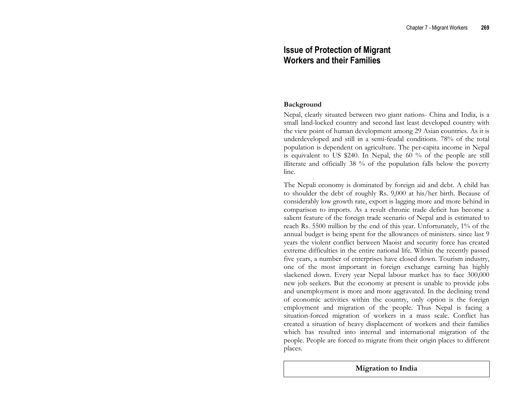# Issue of Protection of Migrant Workers and their Families

## Background

Nepal, clearly situated between two giant nations- China and India, is a small land-locked country and second last least developed country with the view point of human development among 29 Asian countries. As it is underdeveloped and still in a semi-feudal conditions. 78% of the total population is dependent on agriculture. The per-capita income in Nepal is equivalent to US \$240. In Nepal, the 60 % of the people are still illiterate and officially 38 % of the population falls below the poverty line.

The Nepali economy is dominated by foreign aid and debt. A child has to shoulder the debt of roughly Rs. 9,000 at his/her birth. Because of considerably low growth rate, export is lagging more and more behind in comparison to imports. As a result chronic trade deficit has become a salient feature of the foreign trade scenario of Nepal and is estimated to reach Rs. 5500 million by the end of this year. Unfortunately, 1% of the annual budget is being spent for the allowances of ministers. since last 9 years the violent conflict between Maoist and security force has created extreme difficulties in the entire national life. Within the recently passed five years, a number of enterprises have closed down. Tourism industry, one of the most important in foreign exchange earning has highly slackened down. Every year Nepal labour market has to face 300,000 new job seekers. But the economy at present is unable to provide jobs and unemployment is more and more aggravated. In the declining trend of economic activities within the country, only option is the foreign employment and migration of the people. Thus Nepal is facing a situation-forced migration of workers in a mass scale. Conflict has created a situation of heavy displacement of workers and their families which has resulted into internal and international migration of the people. People are forced to migrate from their origin places to different places.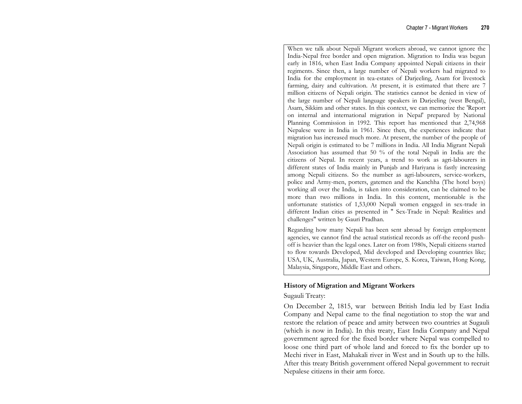When we talk about Nepali Migrant workers abroad, we cannot ignore the India-Nepal free border and open migration. Migration to India was begun early in 1816, when East India Company appointed Nepali citizens in their regiments. Since then, a large number of Nepali workers had migrated to India for the employment in tea-estates of Darjeeling, Asam for livestock farming, dairy and cultivation. At present, it is estimated that there are 7 million citizens of Nepali origin. The statistics cannot be denied in view of the large number of Nepali language speakers in Darjeeling (west Bengal), Asam, Sikkim and other states. In this context, we can memorize the 'Report on internal and international migration in Nepal' prepared by National Planning Commission in 1992. This report has mentioned that 2,74,968 Nepalese were in India in 1961. Since then, the experiences indicate that migration has increased much more. At present, the number of the people of Nepali origin is estimated to be 7 millions in India. All India Migrant Nepali Association has assumed that 50 % of the total Nepali in India are the citizens of Nepal. In recent years, a trend to work as agri-labourers in different states of India mainly in Punjab and Hariyana is fastly increasing among Nepali citizens. So the number as agri-labourers, service-workers, police and Army-men, porters, gatemen and the Kanchha (The hotel boys) working all over the India, is taken into consideration, can be claimed to be more than two millions in India. In this content, mentionable is the unfortunate statistics of 1,53,000 Nepali women engaged in sex-trade in different Indian cities as presented in " Sex-Trade in Nepal: Realities and challenges" written by Gauri Pradhan.

Regarding how many Nepali has been sent abroad by foreign employment agencies, we cannot find the actual statistical records as off-the record pushoff is heavier than the legal ones. Later on from 1980s, Nepali citizens started to flow towards Developed, Mid developed and Developing countries like; USA, UK, Australia, Japan, Western Europe, S. Korea, Taiwan, Hong Kong, Malaysia, Singapore, Middle East and others.

## History of Migration and Migrant Workers

## Sugauli Treaty:

On December 2, 1815, war between British India led by East India Company and Nepal came to the final negotiation to stop the war and restore the relation of peace and amity between two countries at Sugauli (which is now in India). In this treaty, East India Company and Nepal government agreed for the fixed border where Nepal was compelled to loose one third part of whole land and forced to fix the border up to Mechi river in East, Mahakali river in West and in South up to the hills. After this treaty British government offered Nepal government to recruit Nepalese citizens in their arm force.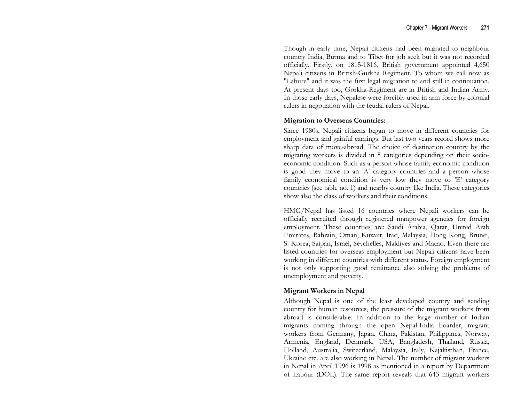Though in early time, Nepali citizens had been migrated to neighbour country India, Burma and to Tibet for job seek but it was not recorded officially. Firstly, on 1815-1816, British government appointed 4,650 Nepali citizens in British-Gurkha Regiment. To whom we call now as "Lahure" and it was the first legal migration to and still in continuation. At present days too, Gorkha-Regiment are in British and Indian Army. In those early days, Nepalese were forcibly used in arm force by colonial rulers in negotiation with the feudal rulers of Nepal.

## Migration to Overseas Countries:

Since 1980s, Nepali citizens began to move in different countries for employment and gainful earnings. But last two years record shows more sharp data of move-abroad. The choice of destination country by the migrating workers is divided in 5 categories depending on their socioeconomic condition. Such as a person whose family economic condition is good they move to an 'A' category countries and a person whose family economical condition is very low they move to 'E' category countries (see table no. 1) and nearby country like India. These categories show also the class of workers and their conditions.

HMG/Nepal has listed 16 countries where Nepali workers can be officially recruited through registered manpower agencies for foreign employment. These countries are: Saudi Arabia, Qatar, United Arab Emirates, Bahrain, Oman, Kuwait, Iraq, Malaysia, Hong Kong, Brunei, S. Korea, Saipan, Israel, Seychelles, Maldives and Macao. Even there are listed countries for overseas employment but Nepali citizens have been working in different countries with different status. Foreign employment is not only supporting good remittance also solving the problems of unemployment and poverty.

## Migrant Workers in Nepal

Although Nepal is one of the least developed country and sending country for human resources, the pressure of the migrant workers from abroad is considerable. In addition to the large number of Indian migrants coming through the open Nepal-India boarder, migrant workers from Germany, Japan, China, Pakistan, Philippines, Norway, Armenia, England, Denmark, USA, Bangladesh, Thailand, Russia, Holland, Australia, Switzerland, Malaysia, Italy, Kajakisthan, France, Ukraine etc. are also working in Nepal. The number of migrant workers in Nepal in April 1996 is 1998 as mentioned in a report by Department of Labour (DOL). The same report reveals that 643 migrant workers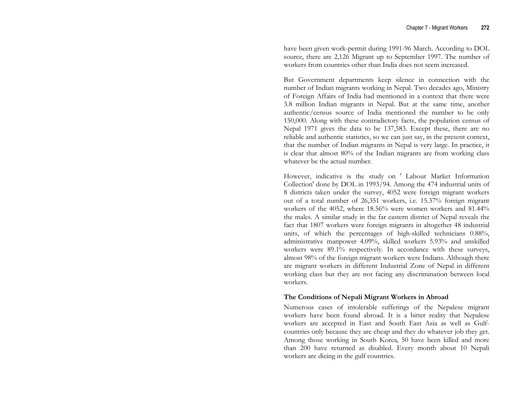have been given work-permit during 1991-96 March. According to DOL source, there are 2,126 Migrant up to September 1997. The number of workers from countries other than India does not seem increased.

But Government departments keep silence in connection with the number of Indian migrants working in Nepal. Two decades ago, Ministry of Foreign Affairs of India had mentioned in a context that there were 3.8 million Indian migrants in Nepal. But at the same time, another authentic/census source of India mentioned the number to be only 150,000. Along with these contradictory facts, the population census of Nepal 1971 gives the data to be 137,583. Except these, there are no reliable and authentic statistics, so we can just say, in the present context, that the number of Indian migrants in Nepal is very large. In practice, it is clear that almost 80% of the Indian migrants are from working class whatever be the actual number.

However, indicative is the study on ' Labour Market Information Collection' done by DOL in 1993/94. Among the 474 industrial units of 8 districts taken under the survey, 4052 were foreign migrant workers out of a total number of 26,351 workers, i.e. 15.37% foreign migrant workers of the 4052, where 18.56% were women workers and 81.44% the males. A similar study in the far eastern district of Nepal reveals the fact that 1807 workers were foreign migrants in altogether 48 industrial units, of which the percentages of high-skilled technicians 0.88%, administrative manpower 4.09%, skilled workers 5.93% and unskilled workers were 89.1% respectively. In accordance with these surveys, almost 98% of the foreign migrant workers were Indians. Although there are migrant workers in different Industrial Zone of Nepal in different working class but they are not facing any discrimination between local workers.

## The Conditions of Nepali Migrant Workers in Abroad

Numerous cases of intolerable sufferings of the Nepalese migrant workers have been found abroad. It is a bitter reality that Nepalese workers are accepted in East and South East Asia as well as Gulfcountries only because they are cheap and they do whatever job they get. Among those working in South Korea, 50 have been killed and more than 200 have returned as disabled. Every month about 10 Nepali workers are dieing in the gulf countries.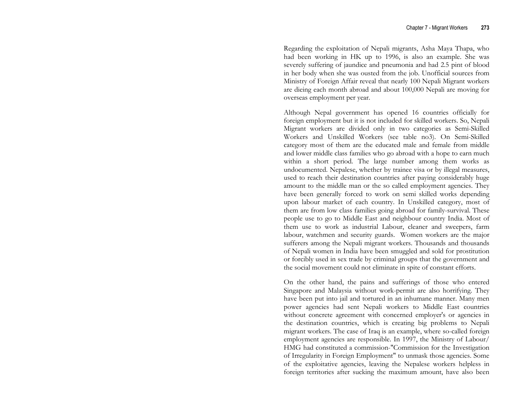Regarding the exploitation of Nepali migrants, Asha Maya Thapa, who had been working in HK up to 1996, is also an example. She was severely suffering of jaundice and pneumonia and had 2.5 pint of blood in her body when she was ousted from the job. Unofficial sources from Ministry of Foreign Affair reveal that nearly 100 Nepali Migrant workers are dieing each month abroad and about 100,000 Nepali are moving for overseas employment per year.

Although Nepal government has opened 16 countries officially for foreign employment but it is not included for skilled workers. So, Nepali Migrant workers are divided only in two categories as Semi-Skilled Workers and Unskilled Workers (see table no3). On Semi-Skilled category most of them are the educated male and female from middle and lower middle class families who go abroad with a hope to earn much within a short period. The large number among them works as undocumented. Nepalese, whether by trainee visa or by illegal measures, used to reach their destination countries after paying considerably huge amount to the middle man or the so called employment agencies. They have been generally forced to work on semi skilled works depending upon labour market of each country. In Unskilled category, most of them are from low class families going abroad for family-survival. These people use to go to Middle East and neighbour country India. Most of them use to work as industrial Labour, cleaner and sweepers, farm labour, watchmen and security guards. Women workers are the major sufferers among the Nepali migrant workers. Thousands and thousands of Nepali women in India have been smuggled and sold for prostitution or forcibly used in sex trade by criminal groups that the government and the social movement could not eliminate in spite of constant efforts.

On the other hand, the pains and sufferings of those who entered Singapore and Malaysia without work-permit are also horrifying. They have been put into jail and tortured in an inhumane manner. Many men power agencies had sent Nepali workers to Middle East countries without concrete agreement with concerned employer's or agencies in the destination countries, which is creating big problems to Nepali migrant workers. The case of Iraq is an example, where so-called foreign employment agencies are responsible. In 1997, the Ministry of Labour/ HMG had constituted a commission-"Commission for the Investigation of Irregularity in Foreign Employment" to unmask those agencies. Some of the exploitative agencies, leaving the Nepalese workers helpless in foreign territories after sucking the maximum amount, have also been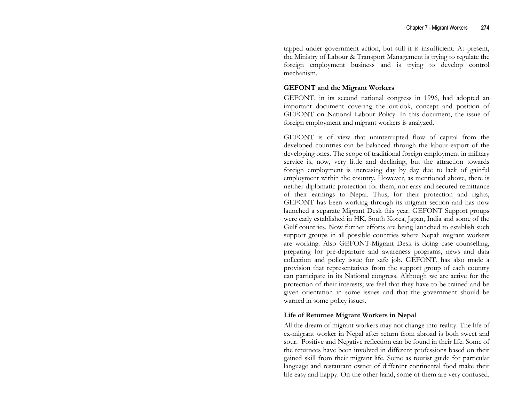tapped under government action, but still it is insufficient. At present, the Ministry of Labour & Transport Management is trying to regulate the foreign employment business and is trying to develop control mechanism.

#### GEFONT and the Migrant Workers

GEFONT, in its second national congress in 1996, had adopted an important document covering the outlook, concept and position of GEFONT on National Labour Policy. In this document, the issue of foreign employment and migrant workers is analyzed.

GEFONT is of view that uninterrupted flow of capital from the developed countries can be balanced through the labour-export of the developing ones. The scope of traditional foreign employment in military service is, now, very little and declining, but the attraction towards foreign employment is increasing day by day due to lack of gainful employment within the country. However, as mentioned above, there is neither diplomatic protection for them, nor easy and secured remittance of their earnings to Nepal. Thus, for their protection and rights, GEFONT has been working through its migrant section and has now launched a separate Migrant Desk this year. GEFONT Support groups were early established in HK, South Korea, Japan, India and some of the Gulf countries. Now further efforts are being launched to establish such support groups in all possible countries where Nepali migrant workers are working. Also GEFONT-Migrant Desk is doing case counselling, preparing for pre-departure and awareness programs, news and data collection and policy issue for safe job. GEFONT, has also made a provision that representatives from the support group of each country can participate in its National congress. Although we are active for the protection of their interests, we feel that they have to be trained and be given orientation in some issues and that the government should be warned in some policy issues.

## Life of Returnee Migrant Workers in Nepal

All the dream of migrant workers may not change into reality. The life of ex-migrant worker in Nepal after return from abroad is both sweet and sour. Positive and Negative reflection can be found in their life. Some of the returnees have been involved in different professions based on their gained skill from their migrant life. Some as tourist guide for particular language and restaurant owner of different continental food make their life easy and happy. On the other hand, some of them are very confused.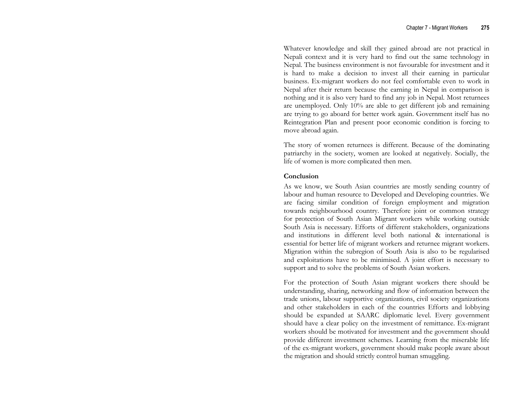Whatever knowledge and skill they gained abroad are not practical in Nepali context and it is very hard to find out the same technology in Nepal. The business environment is not favourable for investment and it is hard to make a decision to invest all their earning in particular business. Ex-migrant workers do not feel comfortable even to work in Nepal after their return because the earning in Nepal in comparison is nothing and it is also very hard to find any job in Nepal. Most returnees are unemployed. Only 10% are able to get different job and remaining are trying to go aboard for better work again. Government itself has no Reintegration Plan and present poor economic condition is forcing to move abroad again.

The story of women returnees is different. Because of the dominating patriarchy in the society, women are looked at negatively. Socially, the life of women is more complicated then men.

#### Conclusion

As we know, we South Asian countries are mostly sending country of labour and human resource to Developed and Developing countries. We are facing similar condition of foreign employment and migration towards neighbourhood country. Therefore joint or common strategy for protection of South Asian Migrant workers while working outside South Asia is necessary. Efforts of different stakeholders, organizations and institutions in different level both national & international is essential for better life of migrant workers and returnee migrant workers. Migration within the subregion of South Asia is also to be regularised and exploitations have to be minimised. A joint effort is necessary to support and to solve the problems of South Asian workers.

For the protection of South Asian migrant workers there should be understanding, sharing, networking and flow of information between the trade unions, labour supportive organizations, civil society organizations and other stakeholders in each of the countries Efforts and lobbying should be expanded at SAARC diplomatic level. Every government should have a clear policy on the investment of remittance. Ex-migrant workers should be motivated for investment and the government should provide different investment schemes. Learning from the miserable life of the ex-migrant workers, government should make people aware about the migration and should strictly control human smuggling.